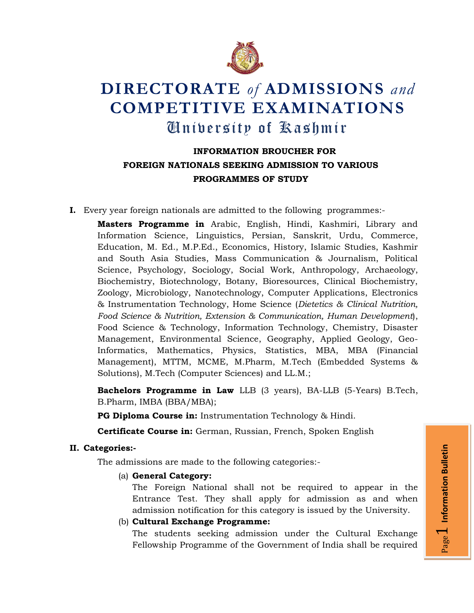

# **DIRECTORATE** *of* **ADMISSIONS** *and* **COMPETITIVE EXAMINATIONS** University of Kashmir

# **INFORMATION BROUCHER FOR FOREIGN NATIONALS SEEKING ADMISSION TO VARIOUS PROGRAMMES OF STUDY**

**I.** Every year foreign nationals are admitted to the following programmes:-

**Masters Programme in** Arabic, English, Hindi, Kashmiri, Library and Information Science, Linguistics, Persian, Sanskrit, Urdu, Commerce, Education, M. Ed., M.P.Ed., Economics, History, Islamic Studies, Kashmir and South Asia Studies, Mass Communication & Journalism, Political Science, Psychology, Sociology, Social Work, Anthropology, Archaeology, Biochemistry, Biotechnology, Botany, Bioresources, Clinical Biochemistry, Zoology, Microbiology, Nanotechnology, Computer Applications, Electronics & Instrumentation Technology, Home Science (*Dietetics & Clinical Nutrition, Food Science & Nutrition, Extension & Communication, Human Development*), Food Science & Technology, Information Technology, Chemistry, Disaster Management, Environmental Science, Geography, Applied Geology, Geo-Informatics, Mathematics, Physics, Statistics, MBA, MBA (Financial Management), MTTM, MCME, M.Pharm, M.Tech (Embedded Systems & Solutions), M.Tech (Computer Sciences) and LL.M.;

**Bachelors Programme in Law** LLB (3 years), BA-LLB (5-Years) B.Tech, B.Pharm, IMBA (BBA/MBA);

**PG Diploma Course in:** Instrumentation Technology & Hindi.

**Certificate Course in:** German, Russian, French, Spoken English

# **II. Categories:-**

The admissions are made to the following categories:-

(a) **General Category:** 

The Foreign National shall not be required to appear in the Entrance Test. They shall apply for admission as and when admission notification for this category is issued by the University.

(b) **Cultural Exchange Programme:** 

The students seeking admission under the Cultural Exchange Fellowship Programme of the Government of India shall be required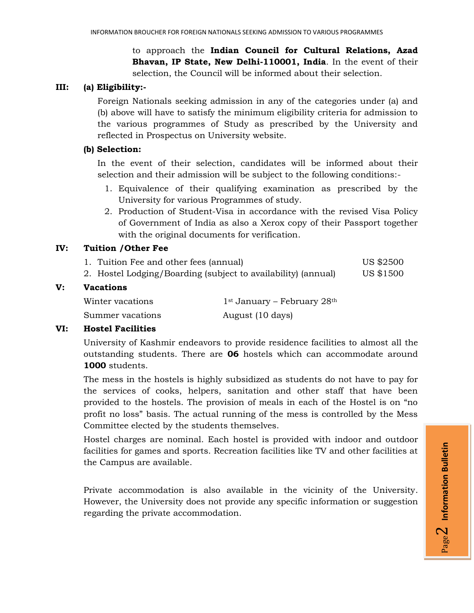to approach the **Indian Council for Cultural Relations, Azad Bhavan, IP State, New Delhi-110001, India**. In the event of their selection, the Council will be informed about their selection.

## **III: (a) Eligibility:-**

Foreign Nationals seeking admission in any of the categories under (a) and (b) above will have to satisfy the minimum eligibility criteria for admission to the various programmes of Study as prescribed by the University and reflected in Prospectus on University website.

#### **(b) Selection:**

In the event of their selection, candidates will be informed about their selection and their admission will be subject to the following conditions:-

- 1. Equivalence of their qualifying examination as prescribed by the University for various Programmes of study.
- 2. Production of Student-Visa in accordance with the revised Visa Policy of Government of India as also a Xerox copy of their Passport together with the original documents for verification.

#### **IV: Tuition /Other Fee**

- 1. Tuition Fee and other fees (annual) US \$2500
- 2. Hostel Lodging/Boarding (subject to availability) (annual) US \$1500

# **V: Vacations**

| Winter vacations | $1st$ January – February $28th$ |
|------------------|---------------------------------|
| Summer vacations | August (10 days)                |

#### **VI: Hostel Facilities**

University of Kashmir endeavors to provide residence facilities to almost all the outstanding students. There are **06** hostels which can accommodate around **1000** students.

The mess in the hostels is highly subsidized as students do not have to pay for the services of cooks, helpers, sanitation and other staff that have been provided to the hostels. The provision of meals in each of the Hostel is on "no profit no loss" basis. The actual running of the mess is controlled by the Mess Committee elected by the students themselves.

Hostel charges are nominal. Each hostel is provided with indoor and outdoor facilities for games and sports. Recreation facilities like TV and other facilities at the Campus are available.

Private accommodation is also available in the vicinity of the University. However, the University does not provide any specific information or suggestion regarding the private accommodation.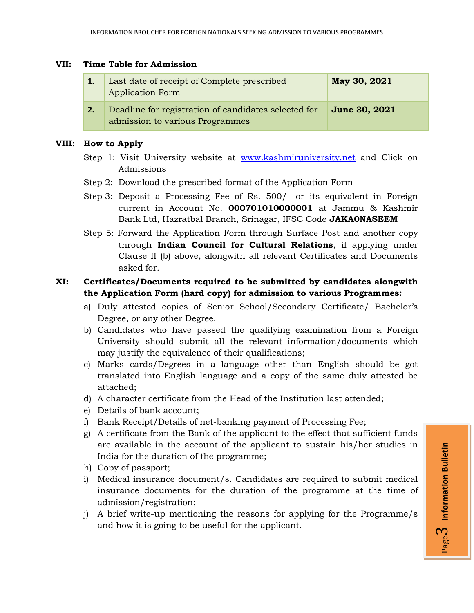#### **VII: Time Table for Admission**

| 1.7 | Last date of receipt of Complete prescribed<br><b>Application Form</b>                  | May 30, 2021         |
|-----|-----------------------------------------------------------------------------------------|----------------------|
| 2.  | Deadline for registration of candidates selected for<br>admission to various Programmes | <b>June 30, 2021</b> |

## **VIII: How to Apply**

- Step 1: Visit University website at [www.kashmiruniversity.net](http://www.kashmiruniversity.net/) and Click on Admissions
- Step 2: Download the prescribed format of the Application Form
- Step 3: Deposit a Processing Fee of Rs. 500/- or its equivalent in Foreign current in Account No. **000701010000001** at Jammu & Kashmir Bank Ltd, Hazratbal Branch, Srinagar, IFSC Code **JAKA0NASEEM**
- Step 5: Forward the Application Form through Surface Post and another copy through **Indian Council for Cultural Relations**, if applying under Clause II (b) above, alongwith all relevant Certificates and Documents asked for.

# **XI: Certificates/Documents required to be submitted by candidates alongwith the Application Form (hard copy) for admission to various Programmes:**

- a) Duly attested copies of Senior School/Secondary Certificate/ Bachelor's Degree, or any other Degree.
- b) Candidates who have passed the qualifying examination from a Foreign University should submit all the relevant information/documents which may justify the equivalence of their qualifications;
- c) Marks cards/Degrees in a language other than English should be got translated into English language and a copy of the same duly attested be attached;
- d) A character certificate from the Head of the Institution last attended;
- e) Details of bank account;
- f) Bank Receipt/Details of net-banking payment of Processing Fee;
- g) A certificate from the Bank of the applicant to the effect that sufficient funds are available in the account of the applicant to sustain his/her studies in India for the duration of the programme;
- h) Copy of passport;
- i) Medical insurance document/s. Candidates are required to submit medical insurance documents for the duration of the programme at the time of admission/registration;
- j) A brief write-up mentioning the reasons for applying for the Programme/s and how it is going to be useful for the applicant.

Page ო **Information Bulletin**